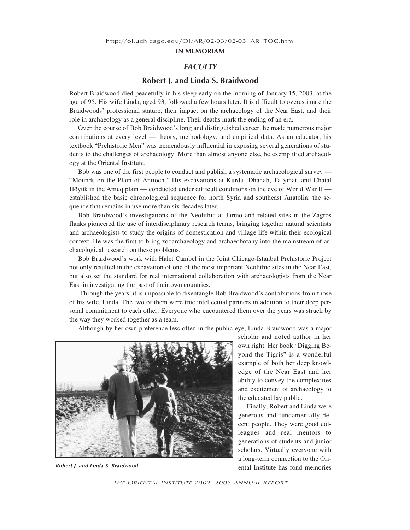http://oi.uchicago.edu/OI/AR/02-03/02-03\_AR\_TOC.html

#### **IN MEMORIAM**

# *FACULTY*

## **Robert J. and Linda S. Braidwood**

Robert Braidwood died peacefully in his sleep early on the morning of January 15, 2003, at the age of 95. His wife Linda, aged 93, followed a few hours later. It is difficult to overestimate the Braidwoods' professional stature, their impact on the archaeology of the Near East, and their role in archaeology as a general discipline. Their deaths mark the ending of an era.

Over the course of Bob Braidwood's long and distinguished career, he made numerous major contributions at every level — theory, methodology, and empirical data. As an educator, his textbook "Prehistoric Men" was tremendously influential in exposing several generations of students to the challenges of archaeology. More than almost anyone else, he exemplified archaeology at the Oriental Institute.

Bob was one of the first people to conduct and publish a systematic archaeological survey — "Mounds on the Plain of Antioch." His excavations at Kurdu, Dhahab, Ta'yinat, and Chatal Höyük in the Amuq plain — conducted under difficult conditions on the eve of World War II established the basic chronological sequence for north Syria and southeast Anatolia: the sequence that remains in use more than six decades later.

Bob Braidwood's investigations of the Neolithic at Jarmo and related sites in the Zagros flanks pioneered the use of interdisciplinary research teams, bringing together natural scientists and archaeologists to study the origins of domestication and village life within their ecological context. He was the first to bring zooarchaeology and archaeobotany into the mainstream of archaeological research on these problems.

Bob Braidwood's work with Halet Çambel in the Joint Chicago-Istanbul Prehistoric Project not only resulted in the excavation of one of the most important Neolithic sites in the Near East, but also set the standard for real international collaboration with archaeologists from the Near East in investigating the past of their own countries.

 Through the years, it is impossible to disentangle Bob Braidwood's contributions from those of his wife, Linda. The two of them were true intellectual partners in addition to their deep personal commitment to each other. Everyone who encountered them over the years was struck by the way they worked together as a team.

Although by her own preference less often in the public eye, Linda Braidwood was a major



*Robert J. and Linda S. Braidwood*

scholar and noted author in her own right. Her book "Digging Beyond the Tigris" is a wonderful example of both her deep knowledge of the Near East and her ability to convey the complexities and excitement of archaeology to the educated lay public.

Finally, Robert and Linda were generous and fundamentally decent people. They were good colleagues and real mentors to generations of students and junior scholars. Virtually everyone with a long-term connection to the Oriental Institute has fond memories

*THE ORIENTAL INSTITUTE 2002–2003 ANNUAL REPORT*